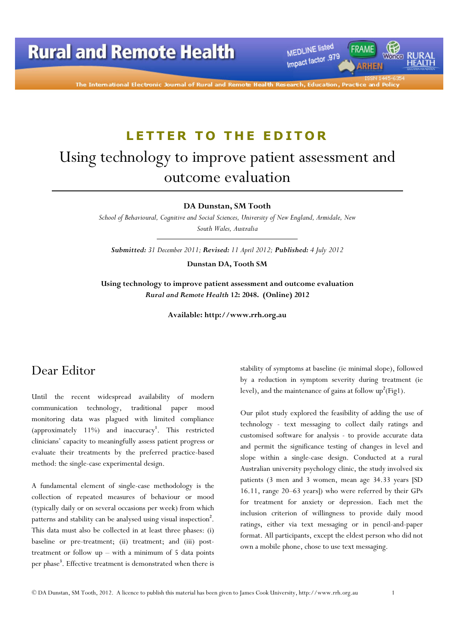MEDLINE listed Impact factor .979

The International Electronic Journal of Rural and Remote H

## LETTER TO THE EDITOR

# Using technology to improve patient assessment and outcome evaluation

DA Dunstan, SM Tooth

School of Behavioural, Cognitive and Social Sciences, University of New England, Armidale, New South Wales, Australia

Submitted: 31 December 2011; Revised: 11 April 2012; Published: 4 July 2012

Dunstan DA, Tooth SM

Using technology to improve patient assessment and outcome evaluation Rural and Remote Health 12: 2048. (Online) 2012

Available: http://www.rrh.org.au

#### Dear Editor

Until the recent widespread availability of modern communication technology, traditional paper mood monitoring data was plagued with limited compliance (approximately 11%) and inaccuracy<sup>1</sup>. This restricted clinicians' capacity to meaningfully assess patient progress or evaluate their treatments by the preferred practice-based method: the single-case experimental design.

A fundamental element of single-case methodology is the collection of repeated measures of behaviour or mood (typically daily or on several occasions per week) from which patterns and stability can be analysed using visual inspection<sup>2</sup>. This data must also be collected in at least three phases: (i) baseline or pre-treatment; (ii) treatment; and (iii) posttreatment or follow up – with a minimum of 5 data points per phase<sup>3</sup>. Effective treatment is demonstrated when there is

stability of symptoms at baseline (ie minimal slope), followed by a reduction in symptom severity during treatment (ie level), and the maintenance of gains at follow  $up^2(Fig1)$ .

Our pilot study explored the feasibility of adding the use of technology - text messaging to collect daily ratings and customised software for analysis - to provide accurate data and permit the significance testing of changes in level and slope within a single-case design. Conducted at a rural Australian university psychology clinic, the study involved six patients (3 men and 3 women, mean age 34.33 years [SD 16.11, range 20–63 years]) who were referred by their GPs for treatment for anxiety or depression. Each met the inclusion criterion of willingness to provide daily mood ratings, either via text messaging or in pencil-and-paper format. All participants, except the eldest person who did not own a mobile phone, chose to use text messaging.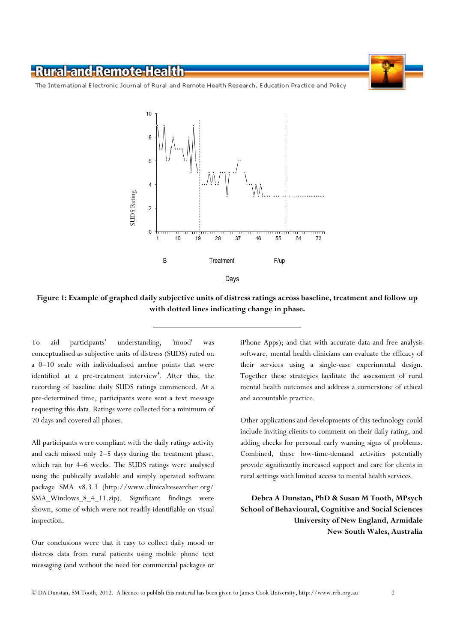#### -Rural-and-Remote-Health

The International Electronic Journal of Rural and Remote Health Research, Education Practice and Policy



Figure 1: Example of graphed daily subjective units of distress ratings across baseline, treatment and follow up with dotted lines indicating change in phase.

To aid participants' understanding, 'mood' was conceptualised as subjective units of distress (SUDS) rated on a 0–10 scale with individualised anchor points that were identified at a pre-treatment interview<sup>4</sup>. After this, the recording of baseline daily SUDS ratings commenced. At a pre-determined time, participants were sent a text message requesting this data. Ratings were collected for a minimum of 70 days and covered all phases.

All participants were compliant with the daily ratings activity and each missed only 2–5 days during the treatment phase, which ran for 4–6 weeks. The SUDS ratings were analysed using the publically available and simply operated software package SMA v8.3.3 (http://www.clinicalresearcher.org/ SMA\_Windows\_8\_4\_11.zip). Significant findings were shown, some of which were not readily identifiable on visual inspection.

Our conclusions were that it easy to collect daily mood or distress data from rural patients using mobile phone text messaging (and without the need for commercial packages or

iPhone Apps); and that with accurate data and free analysis software, mental health clinicians can evaluate the efficacy of their services using a single-case experimental design. Together these strategies facilitate the assessment of rural mental health outcomes and address a cornerstone of ethical and accountable practice.

Other applications and developments of this technology could include inviting clients to comment on their daily rating, and adding checks for personal early warning signs of problems. Combined, these low-time-demand activities potentially provide significantly increased support and care for clients in rural settings with limited access to mental health services.

Debra A Dunstan, PhD & Susan M Tooth, MPsych School of Behavioural, Cognitive and Social Sciences University of New England, Armidale New South Wales, Australia